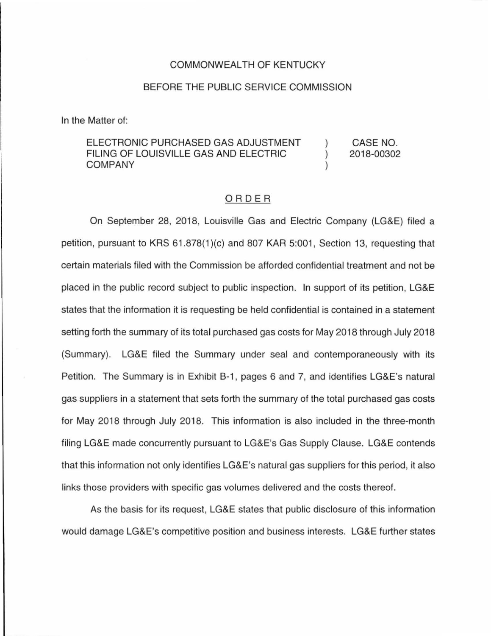## COMMONWEALTH OF KENTUCKY

### BEFORE THE PUBLIC SERVICE COMMISSION

In the Matter of:

#### ELECTRONIC PURCHASED GAS ADJUSTMENT CASE NO. FILING OF LOUISVILLE GAS AND ELECTRIC  $\lambda$ 2018-00302 COMPANY

## ORDER

On September 28, 2018, Louisville Gas and Electric Company (LG&E) filed a petition, pursuant to KRS 61.878(1)(c) and 807 KAR 5:001, Section 13, requesting that certain materials filed with the Commission be afforded confidential treatment and not be placed in the public record subject to public inspection. In support of its petition, LG&E states that the information it is requesting be held confidential is contained in a statement setting forth the summary of its total purchased gas costs for May 2018 through July 2018 (Summary). LG&E filed the Summary under seal and contemporaneously with its Petition. The Summary is in Exhibit B-1, pages 6 and 7, and identifies LG&E's natural gas suppliers in a statement that sets forth the summary of the total purchased gas costs for May 2018 through July 2018. This information is also included in the three-month filing LG&E made concurrently pursuant to LG&E's Gas Supply Clause. LG&E contends that this information not only identifies LG&E's natural gas suppliers for this period, it also links those providers with specific gas volumes delivered and the costs thereof.

As the basis for its request, LG&E states that public disclosure of this information would damage LG&E's competitive position and business interests. LG&E further states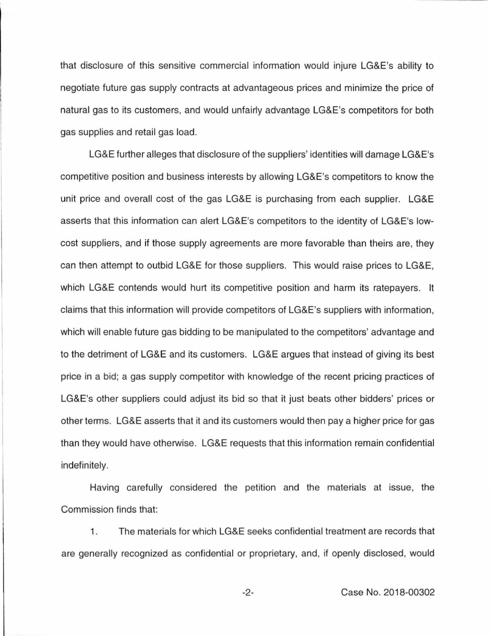that disclosure of this sensitive commercial information would injure LG&E's ability to negotiate future gas supply contracts at advantageous prices and minimize the price of natural gas to its customers, and would unfairly advantage LG&E's competitors for both gas supplies and retail gas load.

LG&E further alleges that disclosure of the suppliers' identities will damage LG&E's competitive position and business interests by allowing LG&E's competitors to know the unit price and overall cost of the gas LG&E is purchasing from each supplier. LG&E asserts that this information can alert LG&E's competitors to the identity of LG&E's lowcost suppliers, and if those supply agreements are more favorable than theirs are, they can then attempt to outbid LG&E for those suppliers. This would raise prices to LG&E, which LG&E contends would hurt its competitive position and harm its ratepayers. It claims that this information will provide competitors of LG&E's suppliers with information, which will enable future gas bidding to be manipulated to the competitors' advantage and to the detriment of LG&E and its customers. LG&E argues that instead of giving its best price in a bid; a gas supply competitor with knowledge of the recent pricing practices of LG&E's other suppliers could adjust its bid so that it just beats other bidders' prices or other terms. LG&E asserts that it and its customers would then pay a higher price for gas than they would have otherwise. LG&E requests that this information remain confidential indefinitely.

Having carefully considered the petition and the materials at issue, the Commission finds that:

1 . The materials for which LG&E seeks confidential treatment are records that are generally recognized as confidential or proprietary, and, if openly disclosed, would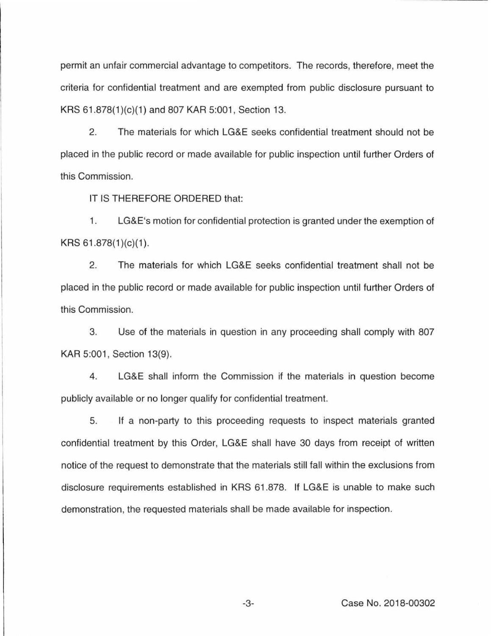permit an unfair commercial advantage to competitors. The records, therefore, meet the criteria for confidential treatment and are exempted from public disclosure pursuant to KRS 61.878(1)(c)(1) and 807 KAR 5:001, Section 13.

2. The materials for which LG&E seeks confidential treatment should not be placed in the public record or made available for public inspection until further Orders of this Commission.

IT IS THEREFORE ORDERED that:

1. LG&E's motion for confidential protection is granted under the exemption of  $KRS 61.878(1)(c)(1)$ .

2. The materials for which LG&E seeks confidential treatment shall not be placed in the public record or made available for public inspection until further Orders of this Commission.

3. Use of the materials in question in any proceeding shall comply with 807 KAR 5:001, Section 13(9).

4. LG&E shall inform the Commission if the materials in question become publicly available or no longer qualify for confidential treatment.

5. If a non-party to this proceeding requests to inspect materials granted confidential treatment by this Order, LG&E shall have 30 days from receipt of written notice of the request to demonstrate that the materials still fall within the exclusions from disclosure requirements established in KRS 61.878. If LG&E is unable to make such demonstration, the requested materials shall be made available for inspection.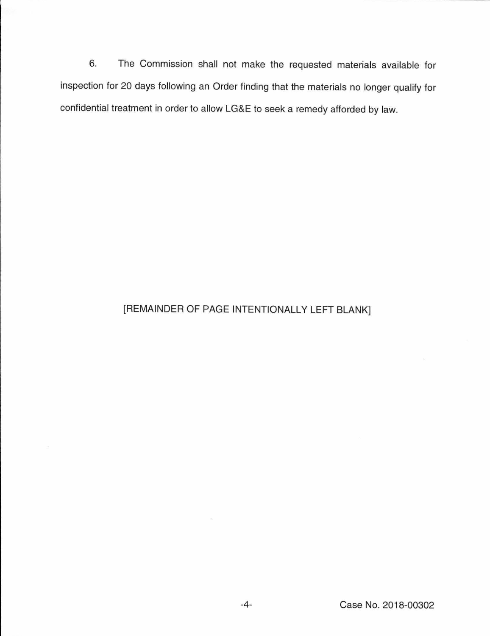6. The Commission shall not make the requested materials available for inspection for 20 days following an Order finding that the materials no longer qualify for confidential treatment in order to allow LG&E to seek a remedy afforded by law.

# [REMAINDER OF PAGE INTENTIONALLY LEFT BLANK]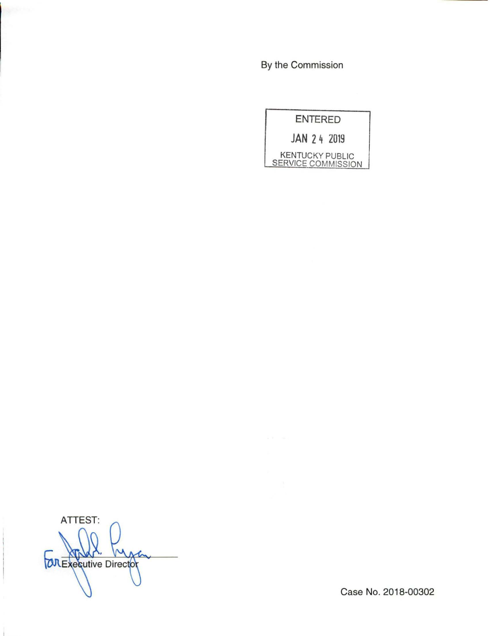By the Commission



**ATTEST: COREXPERIENCE** イー

Case No. 2018-00302